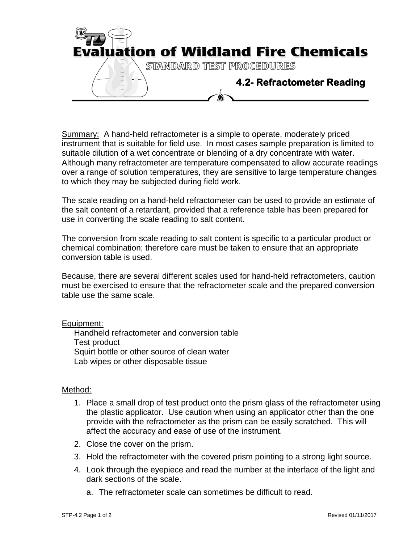

Summary: A hand-held refractometer is a simple to operate, moderately priced instrument that is suitable for field use. In most cases sample preparation is limited to suitable dilution of a wet concentrate or blending of a dry concentrate with water. Although many refractometer are temperature compensated to allow accurate readings over a range of solution temperatures, they are sensitive to large temperature changes to which they may be subjected during field work.

The scale reading on a hand-held refractometer can be used to provide an estimate of the salt content of a retardant, provided that a reference table has been prepared for use in converting the scale reading to salt content.

The conversion from scale reading to salt content is specific to a particular product or chemical combination; therefore care must be taken to ensure that an appropriate conversion table is used.

Because, there are several different scales used for hand-held refractometers, caution must be exercised to ensure that the refractometer scale and the prepared conversion table use the same scale.

Equipment:

Handheld refractometer and conversion table Test product Squirt bottle or other source of clean water Lab wipes or other disposable tissue

## Method:

- 1. Place a small drop of test product onto the prism glass of the refractometer using the plastic applicator. Use caution when using an applicator other than the one provide with the refractometer as the prism can be easily scratched. This will affect the accuracy and ease of use of the instrument.
- 2. Close the cover on the prism.
- 3. Hold the refractometer with the covered prism pointing to a strong light source.
- 4. Look through the eyepiece and read the number at the interface of the light and dark sections of the scale.
	- a. The refractometer scale can sometimes be difficult to read.